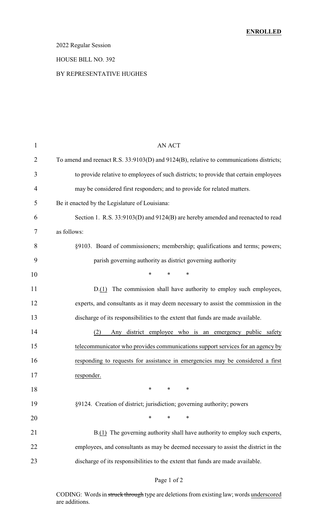### 2022 Regular Session

#### HOUSE BILL NO. 392

#### BY REPRESENTATIVE HUGHES

| $\mathbf{1}$   | <b>AN ACT</b>                                                                           |
|----------------|-----------------------------------------------------------------------------------------|
| $\overline{2}$ | To amend and reenact R.S. 33:9103(D) and 9124(B), relative to communications districts; |
| 3              | to provide relative to employees of such districts; to provide that certain employees   |
| 4              | may be considered first responders; and to provide for related matters.                 |
| 5              | Be it enacted by the Legislature of Louisiana:                                          |
| 6              | Section 1. R.S. 33:9103(D) and 9124(B) are hereby amended and reenacted to read         |
| 7              | as follows:                                                                             |
| 8              | §9103. Board of commissioners; membership; qualifications and terms; powers;            |
| 9              | parish governing authority as district governing authority                              |
| 10             | $\ast$<br>$\ast$<br>∗                                                                   |
| 11             | D.(1) The commission shall have authority to employ such employees,                     |
| 12             | experts, and consultants as it may deem necessary to assist the commission in the       |
| 13             | discharge of its responsibilities to the extent that funds are made available.          |
| 14             | (2)<br>Any district employee who is an emergency public safety                          |
| 15             | telecommunicator who provides communications support services for an agency by          |
| 16             | responding to requests for assistance in emergencies may be considered a first          |
| 17             | responder.                                                                              |
| 18             | ∗<br>$\ast$<br>∗                                                                        |
| 19             | §9124. Creation of district; jurisdiction; governing authority; powers                  |
| 20             | $\ast$<br>∗<br>∗                                                                        |
| 21             | B.(1) The governing authority shall have authority to employ such experts,              |
| 22             | employees, and consultants as may be deemed necessary to assist the district in the     |
| 23             | discharge of its responsibilities to the extent that funds are made available.          |

### Page 1 of 2

CODING: Words in struck through type are deletions from existing law; words underscored are additions.